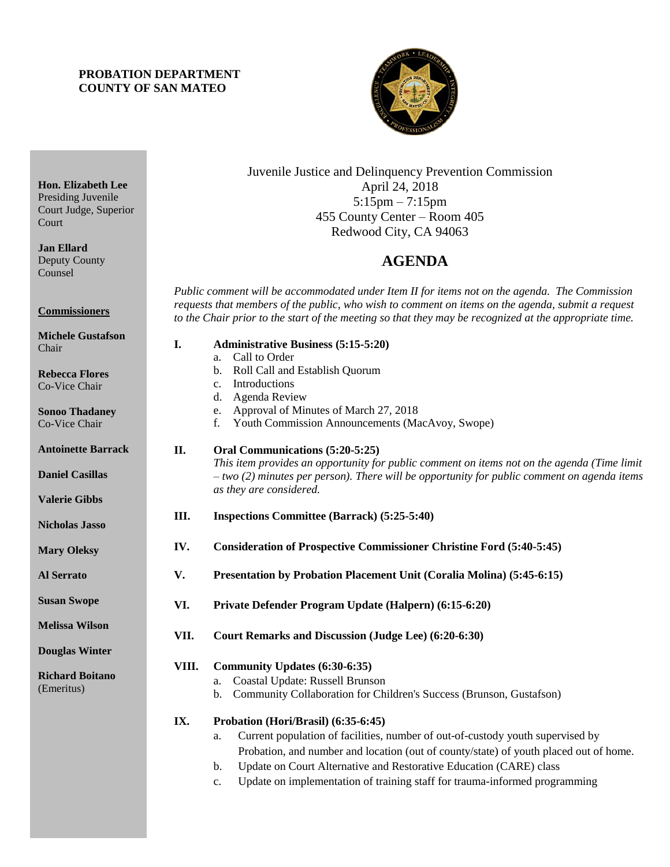## **PROBATION DEPARTMENT COUNTY OF SAN MATEO**



Juvenile Justice and Delinquency Prevention Commission April 24, 2018 5:15pm – 7:15pm 455 County Center – Room 405 Redwood City, CA 94063

# 4B**AGENDA**

*Public comment will be accommodated under Item II for items not on the agenda. The Commission requests that members of the public, who wish to comment on items on the agenda, submit a request to the Chair prior to the start of the meeting so that they may be recognized at the appropriate time.* 

| <b>Michele Gustafson</b><br>I.  | <b>Administrative Business (5:15-5:20)</b>                                                                               |
|---------------------------------|--------------------------------------------------------------------------------------------------------------------------|
| Chair                           | Call to Order<br>a.                                                                                                      |
| <b>Rebecca Flores</b>           | Roll Call and Establish Quorum<br>$\mathbf{b}$ .                                                                         |
| Co-Vice Chair                   | Introductions<br>c.                                                                                                      |
|                                 | Agenda Review<br>d.                                                                                                      |
| <b>Sonoo Thadaney</b>           | Approval of Minutes of March 27, 2018<br>e.                                                                              |
| Co-Vice Chair                   | f.<br>Youth Commission Announcements (MacAvoy, Swope)                                                                    |
| <b>Antoinette Barrack</b><br>П. | Oral Communications (5:20-5:25)                                                                                          |
|                                 | This item provides an opportunity for public comment on items not on the agenda (Time limit                              |
| <b>Daniel Casillas</b>          | $-$ two (2) minutes per person). There will be opportunity for public comment on agenda items<br>as they are considered. |
| <b>Valerie Gibbs</b>            |                                                                                                                          |
| Ш.<br><b>Nicholas Jasso</b>     | <b>Inspections Committee (Barrack) (5:25-5:40)</b>                                                                       |
| IV.<br><b>Mary Oleksy</b>       | <b>Consideration of Prospective Commissioner Christine Ford (5:40-5:45)</b>                                              |
| V.<br><b>Al Serrato</b>         | Presentation by Probation Placement Unit (Coralia Molina) (5:45-6:15)                                                    |
| <b>Susan Swope</b><br>VI.       | Private Defender Program Update (Halpern) (6:15-6:20)                                                                    |
| <b>Melissa Wilson</b>           |                                                                                                                          |
| VII.                            | Court Remarks and Discussion (Judge Lee) (6:20-6:30)                                                                     |
| <b>Douglas Winter</b>           |                                                                                                                          |
| VIII.                           | Community Updates (6:30-6:35)                                                                                            |
| <b>Richard Boitano</b>          | Coastal Update: Russell Brunson<br>a.                                                                                    |
| (Emeritus)                      | Community Collaboration for Children's Success (Brunson, Gustafson)<br>b.                                                |
| IX.                             | Probation (Hori/Brasil) (6:35-6:45)                                                                                      |
|                                 | Current population of facilities, number of out-of-custody youth supervised by<br>a.                                     |
|                                 | Probation, and number and location (out of county/state) of youth placed out of home.                                    |
|                                 | Update on Court Alternative and Restorative Education (CARE) class<br>$\mathbf{b}$ .                                     |

c. Update on implementation of training staff for trauma-informed programming

Presiding Juvenile Court Judge, Superior Court **Jan Ellard**

**Hon. Elizabeth Lee**

Deputy County Counsel

**Commissioners**